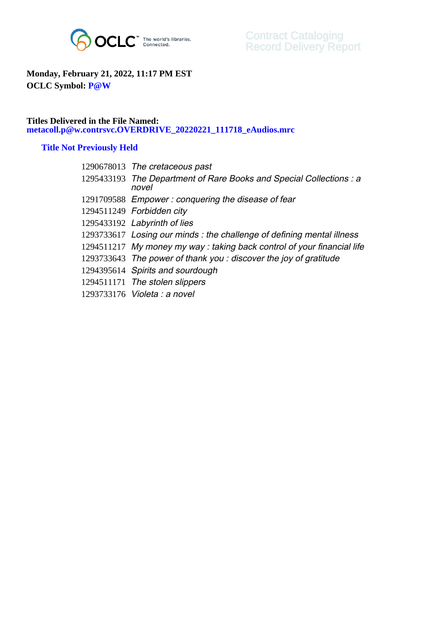

## **Monday, February 21, 2022, 11:17 PM EST OCLC Symbol: P@W**

## **Titles Delivered in the File Named: metacoll.p@w.contrsvc.OVERDRIVE\_20220221\_111718\_eAudios.mrc**

## **Title Not Previously Held**

| 1290678013 The cretaceous past                                               |
|------------------------------------------------------------------------------|
| 1295433193 The Department of Rare Books and Special Collections : a<br>novel |
| 1291709588 Empower: conquering the disease of fear                           |
| 1294511249 Forbidden city                                                    |
| 1295433192 Labyrinth of lies                                                 |
| 1293733617 Losing our minds: the challenge of defining mental illness        |
| 1294511217 My money my way: taking back control of your financial life       |
| 1293733643 The power of thank you: discover the joy of gratitude             |
| 1294395614 Spirits and sourdough                                             |
| 1294511171 The stolen slippers                                               |
| 1293733176 Violeta : a novel                                                 |
|                                                                              |